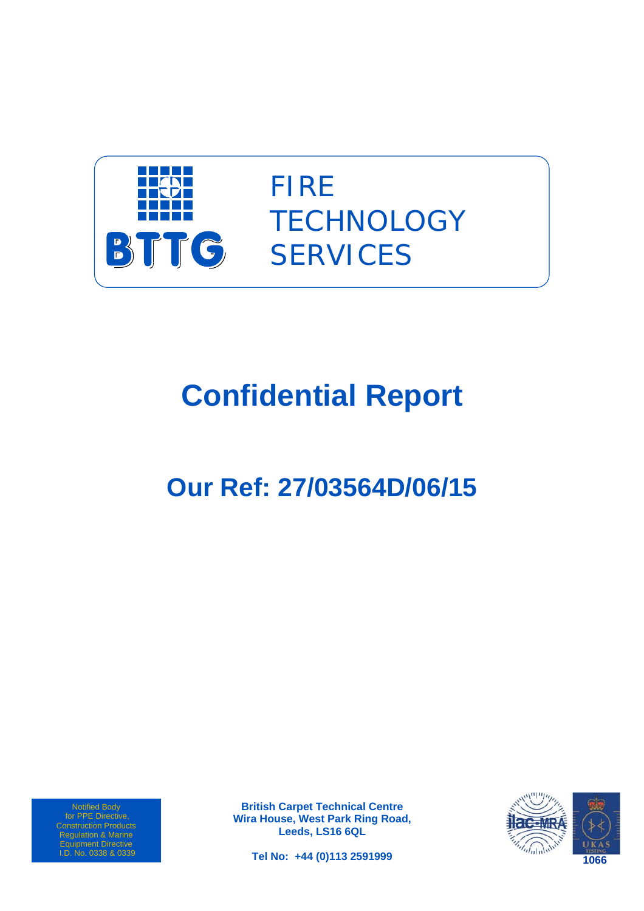

FIRE **TECHNOLOGY SERVICES** 

# **Confidential Report**

# **Our Ref: 27/03564D/06/15**

Notified Body for PPE Directive, Construction Products Regulation & Marine Equipment Directive I.D. No. 0338 & 0339

**British Carpet Technical Centre Wira House, West Park Ring Road, Leeds, LS16 6QL** 



**Tel No: +44 (0)113 2591999**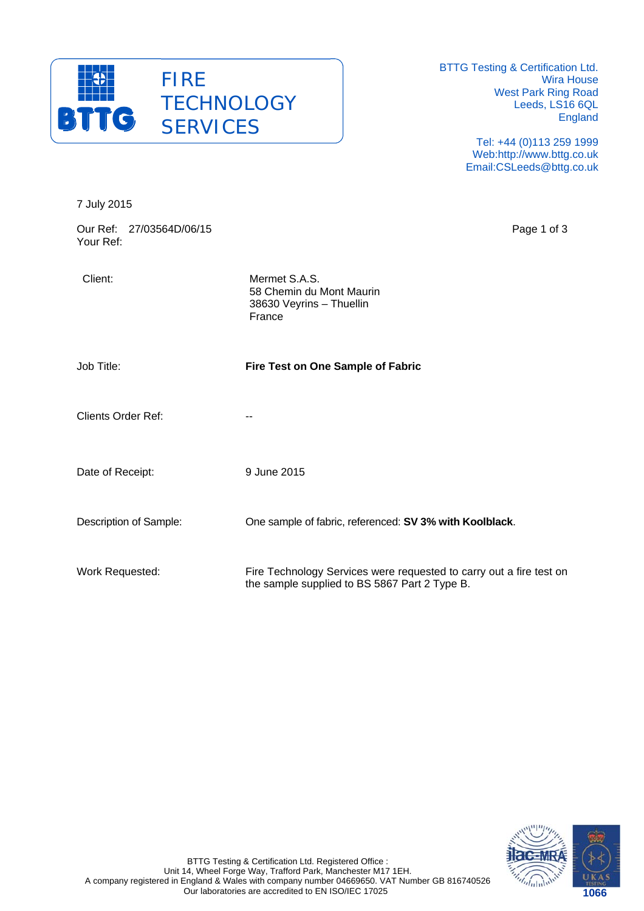

BTTG Testing & Certification Ltd. Wira House West Park Ring Road Leeds, LS16 6QL England

> Tel: +44 (0)113 259 1999 Web:http://www.bttg.co.uk Email:CSLeeds@bttg.co.uk

| 7 July 2015                           |                                                                                                                      |
|---------------------------------------|----------------------------------------------------------------------------------------------------------------------|
| Our Ref: 27/03564D/06/15<br>Your Ref: | Page 1 of 3                                                                                                          |
| Client:                               | Mermet S.A.S.<br>58 Chemin du Mont Maurin<br>38630 Veyrins - Thuellin<br>France                                      |
| Job Title:                            | Fire Test on One Sample of Fabric                                                                                    |
| <b>Clients Order Ref:</b>             | --                                                                                                                   |
| Date of Receipt:                      | 9 June 2015                                                                                                          |
| Description of Sample:                | One sample of fabric, referenced: SV 3% with Koolblack.                                                              |
| Work Requested:                       | Fire Technology Services were requested to carry out a fire test on<br>the sample supplied to BS 5867 Part 2 Type B. |

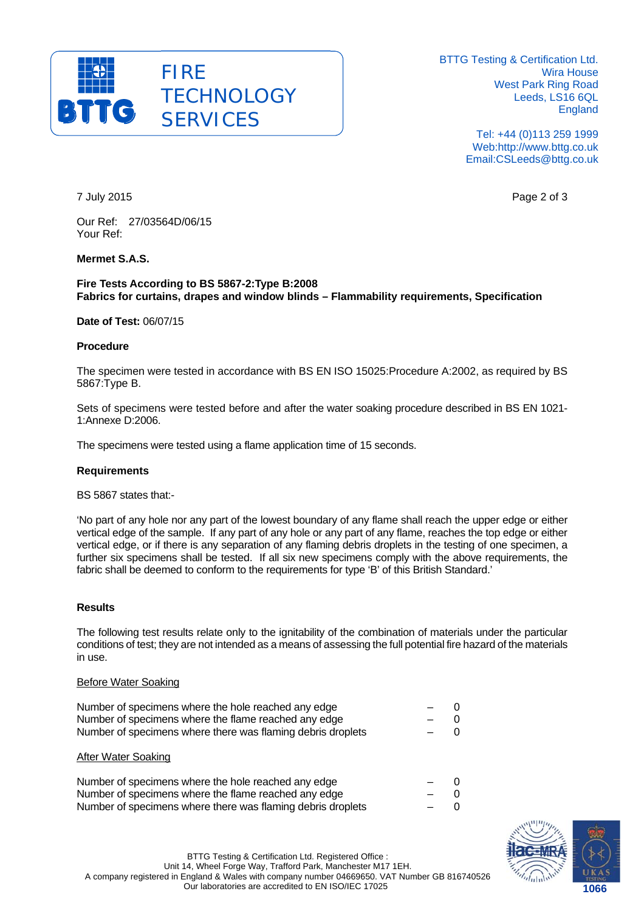

BTTG Testing & Certification Ltd. Wira House West Park Ring Road Leeds, LS16 6QL England

> Tel: +44 (0)113 259 1999 Web:http://www.bttg.co.uk Email:CSLeeds@bttg.co.uk

7 July 2015 Page 2 of 3

Our Ref: 27/03564D/06/15 Your Ref:

## **Mermet S.A.S.**

#### **Fire Tests According to BS 5867-2:Type B:2008 Fabrics for curtains, drapes and window blinds – Flammability requirements, Specification**

**Date of Test:** 06/07/15

#### **Procedure**

The specimen were tested in accordance with BS EN ISO 15025:Procedure A:2002, as required by BS 5867:Type B.

Sets of specimens were tested before and after the water soaking procedure described in BS EN 1021- 1:Annexe D:2006.

The specimens were tested using a flame application time of 15 seconds.

#### **Requirements**

BS 5867 states that:-

'No part of any hole nor any part of the lowest boundary of any flame shall reach the upper edge or either vertical edge of the sample. If any part of any hole or any part of any flame, reaches the top edge or either vertical edge, or if there is any separation of any flaming debris droplets in the testing of one specimen, a further six specimens shall be tested. If all six new specimens comply with the above requirements, the fabric shall be deemed to conform to the requirements for type 'B' of this British Standard.'

#### **Results**

The following test results relate only to the ignitability of the combination of materials under the particular conditions of test; they are not intended as a means of assessing the full potential fire hazard of the materials in use.

#### Before Water Soaking

| Number of specimens where the hole reached any edge         | $ -$  |       |
|-------------------------------------------------------------|-------|-------|
| Number of specimens where the flame reached any edge        | $-$ 0 |       |
| Number of specimens where there was flaming debris droplets |       | $-$ 0 |
|                                                             |       |       |

#### After Water Soaking

| Number of specimens where the hole reached any edge         | $-$ ()   |  |
|-------------------------------------------------------------|----------|--|
| Number of specimens where the flame reached any edge        | $\sim$ 0 |  |
| Number of specimens where there was flaming debris droplets | $-$ 0    |  |